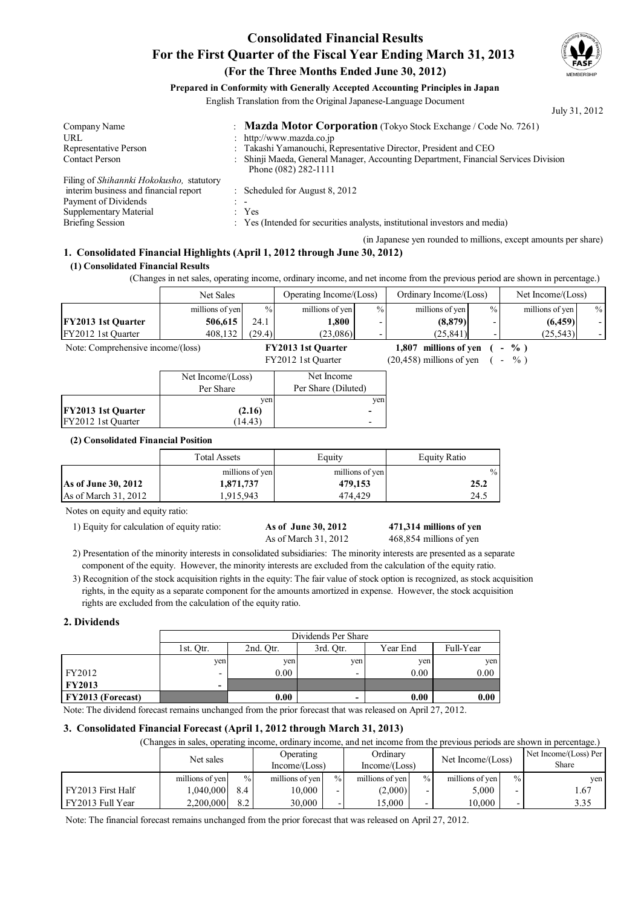## **Consolidated Financial Results For the First Quarter of the Fiscal Year Ending March 31, 2013 (For the Three Months Ended June 30, 2012)**



### **Prepared in Conformity with Generally Accepted Accounting Principles in Japan**

English Translation from the Original Japanese-Language Document

|                                                                             | July 31, 2012                                                                       |
|-----------------------------------------------------------------------------|-------------------------------------------------------------------------------------|
| : Mazda Motor Corporation (Tokyo Stock Exchange / Code No. 7261)            |                                                                                     |
| : http://www.mazda.co.jp                                                    |                                                                                     |
| : Takashi Yamanouchi, Representative Director, President and CEO            |                                                                                     |
| Phone (082) 282-1111                                                        |                                                                                     |
|                                                                             |                                                                                     |
| : Scheduled for August $8, 2012$                                            |                                                                                     |
|                                                                             |                                                                                     |
| : Yes                                                                       |                                                                                     |
| : Yes (Intended for securities analysts, institutional investors and media) |                                                                                     |
|                                                                             | : Shinji Maeda, General Manager, Accounting Department, Financial Services Division |

(in Japanese yen rounded to millions, except amounts per share)

# **1. Consolidated Financial Highlights (April 1, 2012 through June 30, 2012)**

#### **(1) Consolidated Financial Results**

(Changes in net sales, operating income, ordinary income, and net income from the previous period are shown in percentage.)

|                                   | Net Sales         |               | Operating Income/(Loss)   |                          | Ordinary Income/(Loss)      |                          | Net Income/(Loss)                  |                          |
|-----------------------------------|-------------------|---------------|---------------------------|--------------------------|-----------------------------|--------------------------|------------------------------------|--------------------------|
|                                   | millions of yen   | $\frac{0}{0}$ | millions of yen           | $\frac{0}{0}$            | millions of yen             | $\%$                     | millions of yen                    | $\frac{0}{0}$            |
| <b>FY2013 1st Quarter</b>         | 506,615           | 24.1          | 1.800                     |                          | (8,879)                     | $\overline{\phantom{a}}$ | (6, 459)                           | $\overline{\phantom{a}}$ |
| FY2012 1st Ouarter                | 408,132           | (29.4)        | (23,086)                  |                          | (25, 841)                   | $\overline{\phantom{a}}$ | (25, 543)                          | $\overline{\phantom{a}}$ |
| Note: Comprehensive income/(loss) |                   |               | <b>FY2013 1st Ouarter</b> |                          | millions of ven<br>1.807    |                          | $\%$ )<br>Ξ.                       |                          |
|                                   |                   |               | FY2012 1st Ouarter        |                          | $(20, 458)$ millions of yen |                          | $\%$ )<br>$\overline{\phantom{0}}$ |                          |
|                                   | Net Income/(Loss) |               | Net Income                |                          |                             |                          |                                    |                          |
|                                   | Per Share         |               | Per Share (Diluted)       |                          |                             |                          |                                    |                          |
|                                   |                   | yen           |                           | yen                      |                             |                          |                                    |                          |
| <b>FY2013 1st Quarter</b>         |                   | (2.16)        |                           | -                        |                             |                          |                                    |                          |
| FY2012 1st Ouarter                |                   | (14.43)       |                           | $\overline{\phantom{0}}$ |                             |                          |                                    |                          |

#### **(2) Consolidated Financial Position**

|                        | <b>Total Assets</b> | Equity          | Equity Ratio  |  |
|------------------------|---------------------|-----------------|---------------|--|
|                        | millions of yen     | millions of yen | $\frac{0}{6}$ |  |
| As of June 30, 2012    | 1,871,737           | 479,153         | 25.2          |  |
| As of March $31, 2012$ | 1.915.943           | 474.429         | 24.5          |  |

Notes on equity and equity ratio:

1) Equity for calculation of equity ratio: **As of June 30, 2012** 

# As of March 31, 2012 468,854 millions of yen

**471,314**

2) Presentation of the minority interests in consolidated subsidiaries: The minority interests are presented as a separate component of the equity. However, the minority interests are excluded from the calculation of the equity ratio.

3) Recognition of the stock acquisition rights in the equity: The fair value of stock option is recognized, as stock acquisition rights, in the equity as a separate component for the amounts amortized in expense. However, the stock acquisition rights are excluded from the calculation of the equity ratio.

#### **2. Dividends**

|                          | Dividends Per Share      |                                                 |     |      |      |  |  |
|--------------------------|--------------------------|-------------------------------------------------|-----|------|------|--|--|
|                          | 1st. Otr.                | Full-Year<br>2nd. Otr.<br>Year End<br>3rd. Otr. |     |      |      |  |  |
|                          | ven                      | ven                                             | ven | yen  | yen  |  |  |
| FY2012                   | $\overline{\phantom{0}}$ | 0.00                                            |     | 0.00 | 0.00 |  |  |
| <b>FY2013</b>            | $\,$                     |                                                 |     |      |      |  |  |
| <b>FY2013 (Forecast)</b> |                          | 0.00                                            |     | 0.00 | 0.00 |  |  |

Note: The dividend forecast remains unchanged from the prior forecast that was released on April 27, 2012.

### **3. Consolidated Financial Forecast (April 1, 2012 through March 31, 2013)**

(Changes in sales, operating income, ordinary income, and net income from the previous periods are shown in percentage.)

|                   | Net sales       |      | Operating<br>Income/Loss) |                          | Ordinarv<br>Income/(Loss) |                          | Net Income/(Loss) |               | Net Income/(Loss) Per<br>Share |
|-------------------|-----------------|------|---------------------------|--------------------------|---------------------------|--------------------------|-------------------|---------------|--------------------------------|
|                   | millions of yen | $\%$ | millions of yen           | $\frac{0}{0}$            | millions of yen           | $\frac{0}{0}$            | millions of yen   | $\frac{0}{0}$ | ven                            |
| FY2013 First Half | ,040,000        | 8.4  | 10,000                    | $\overline{\phantom{0}}$ | (2,000)                   |                          | 5,000             |               | 1.67                           |
| FY2013 Full Year  | 2,200,000       | 8.2  | 30,000                    |                          | 5.000                     | $\overline{\phantom{0}}$ | 10.000            |               | 3.35                           |

Note: The financial forecast remains unchanged from the prior forecast that was released on April 27, 2012.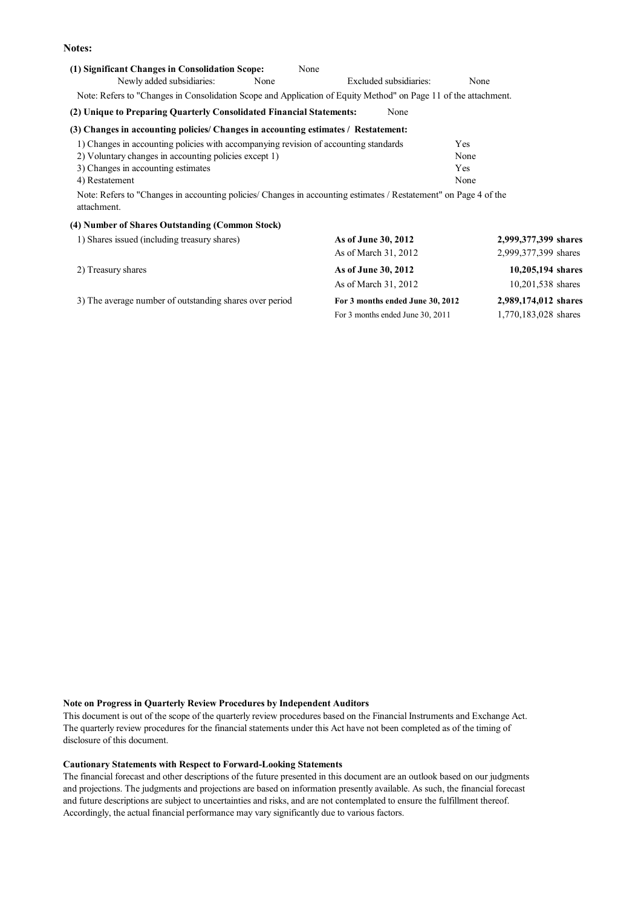#### **Notes:**

| (1) Significant Changes in Consolidation Scope:                                                                                 | None                             |                      |
|---------------------------------------------------------------------------------------------------------------------------------|----------------------------------|----------------------|
| Newly added subsidiaries:<br>None                                                                                               | Excluded subsidiaries:           | None                 |
| Note: Refers to "Changes in Consolidation Scope and Application of Equity Method" on Page 11 of the attachment.                 |                                  |                      |
| (2) Unique to Preparing Quarterly Consolidated Financial Statements:                                                            | None                             |                      |
| (3) Changes in accounting policies/ Changes in accounting estimates / Restatement:                                              |                                  |                      |
| 1) Changes in accounting policies with accompanying revision of accounting standards                                            |                                  | Yes                  |
| 2) Voluntary changes in accounting policies except 1)                                                                           |                                  | None                 |
| 3) Changes in accounting estimates                                                                                              |                                  | Yes                  |
| 4) Restatement                                                                                                                  |                                  | None                 |
| Note: Refers to "Changes in accounting policies/ Changes in accounting estimates / Restatement" on Page 4 of the<br>attachment. |                                  |                      |
| (4) Number of Shares Outstanding (Common Stock)                                                                                 |                                  |                      |
| 1) Shares issued (including treasury shares)                                                                                    | As of June 30, 2012              | 2,999,377,399 shares |
|                                                                                                                                 | As of March 31, 2012             | 2,999,377,399 shares |
| 2) Treasury shares                                                                                                              | As of June 30, 2012              | 10,205,194 shares    |
|                                                                                                                                 | As of March 31, 2012             | 10,201,538 shares    |
| 3) The average number of outstanding shares over period                                                                         | For 3 months ended June 30, 2012 | 2,989,174,012 shares |

For 3 months ended June  $30, 2011$ 

1,770,183,028

#### **Note on Progress in Quarterly Review Procedures by Independent Auditors**

This document is out of the scope of the quarterly review procedures based on the Financial Instruments and Exchange Act. The quarterly review procedures for the financial statements under this Act have not been completed as of the timing of disclosure of this document.

#### **Cautionary Statements with Respect to Forward-Looking Statements**

The financial forecast and other descriptions of the future presented in this document are an outlook based on our judgments and projections. The judgments and projections are based on information presently available. As such, the financial forecast and future descriptions are subject to uncertainties and risks, and are not contemplated to ensure the fulfillment thereof. Accordingly, the actual financial performance may vary significantly due to various factors.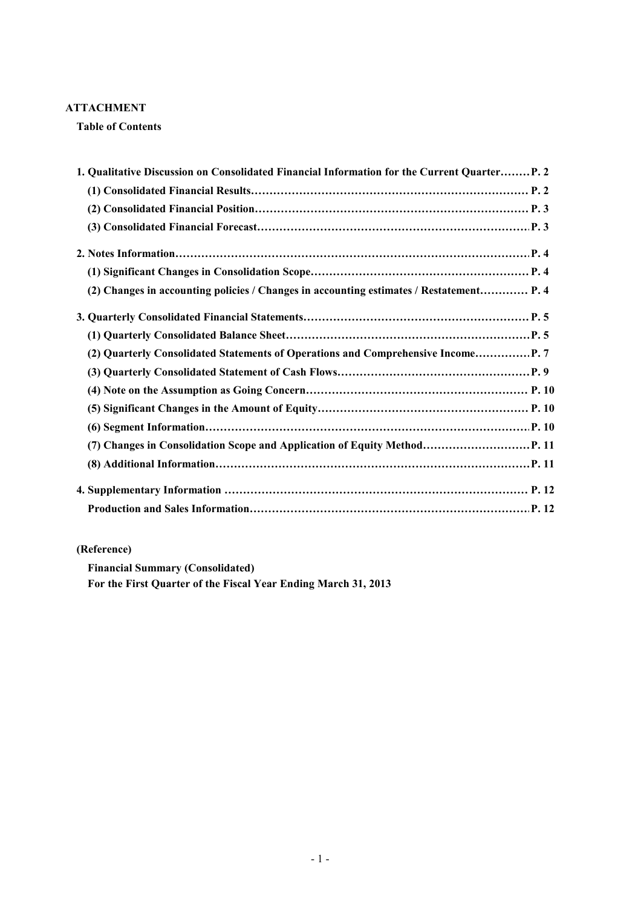### **ATTACHMENT**

### **Table of Contents**

| 1. Qualitative Discussion on Consolidated Financial Information for the Current Quarter P. 2 |  |
|----------------------------------------------------------------------------------------------|--|
|                                                                                              |  |
|                                                                                              |  |
|                                                                                              |  |
|                                                                                              |  |
|                                                                                              |  |
| (2) Changes in accounting policies / Changes in accounting estimates / Restatement P. 4      |  |
|                                                                                              |  |
|                                                                                              |  |
| (2) Quarterly Consolidated Statements of Operations and Comprehensive Income P. 7            |  |
|                                                                                              |  |
|                                                                                              |  |
|                                                                                              |  |
|                                                                                              |  |
|                                                                                              |  |
|                                                                                              |  |
|                                                                                              |  |
|                                                                                              |  |

# **(Reference)**

**Financial Summary (Consolidated)**

**For the First Quarter of the Fiscal Year Ending March 31, 2013**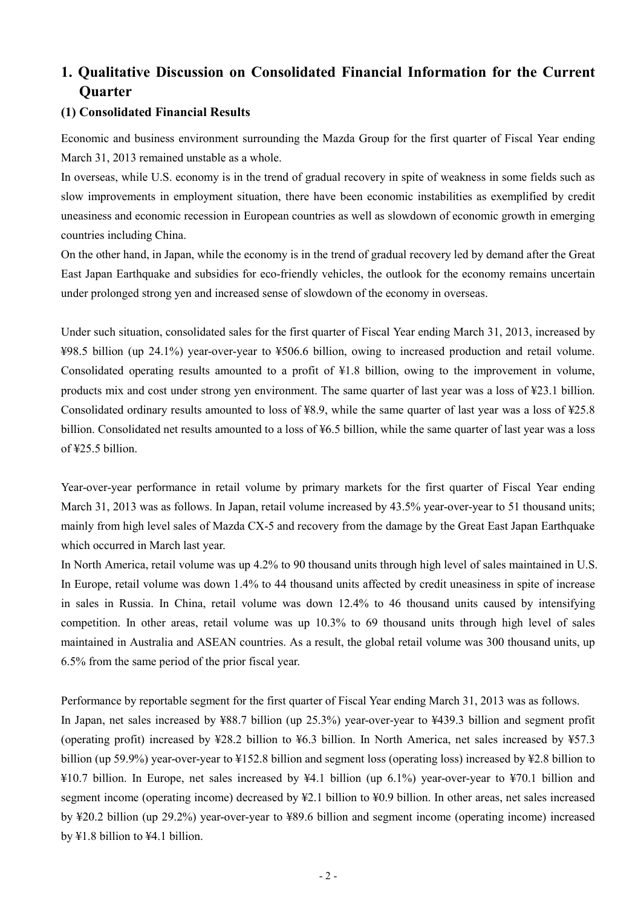# **1. Qualitative Discussion on Consolidated Financial Information for the Current Quarter**

### **(1) Consolidated Financial Results**

Economic and business environment surrounding the Mazda Group for the first quarter of Fiscal Year ending March 31, 2013 remained unstable as a whole.

In overseas, while U.S. economy is in the trend of gradual recovery in spite of weakness in some fields such as slow improvements in employment situation, there have been economic instabilities as exemplified by credit uneasiness and economic recession in European countries as well as slowdown of economic growth in emerging countries including China.

On the other hand, in Japan, while the economy is in the trend of gradual recovery led by demand after the Great East Japan Earthquake and subsidies for eco-friendly vehicles, the outlook for the economy remains uncertain under prolonged strong yen and increased sense of slowdown of the economy in overseas.

Under such situation, consolidated sales for the first quarter of Fiscal Year ending March 31, 2013, increased by ¥98.5 billion (up 24.1%) year-over-year to ¥506.6 billion, owing to increased production and retail volume. Consolidated operating results amounted to a profit of ¥1.8 billion, owing to the improvement in volume, products mix and cost under strong yen environment. The same quarter of last year was a loss of ¥23.1 billion. Consolidated ordinary results amounted to loss of ¥8.9, while the same quarter of last year was a loss of ¥25.8 billion. Consolidated net results amounted to a loss of ¥6.5 billion, while the same quarter of last year was a loss  $of \frac{125}{5}$  5 billion.

Year-over-year performance in retail volume by primary markets for the first quarter of Fiscal Year ending March 31, 2013 was as follows. In Japan, retail volume increased by 43.5% year-over-year to 51 thousand units; mainly from high level sales of Mazda CX-5 and recovery from the damage by the Great East Japan Earthquake which occurred in March last year.

In North America, retail volume was up 4.2% to 90 thousand units through high level of sales maintained in U.S. In Europe, retail volume was down 1.4% to 44 thousand units affected by credit uneasiness in spite of increase in sales in Russia. In China, retail volume was down 12.4% to 46 thousand units caused by intensifying competition. In other areas, retail volume was up 10.3% to 69 thousand units through high level of sales maintained in Australia and ASEAN countries. As a result, the global retail volume was 300 thousand units, up 6.5% from the same period of the prior fiscal year.

Performance by reportable segment for the first quarter of Fiscal Year ending March 31, 2013 was as follows.

In Japan, net sales increased by ¥88.7 billion (up 25.3%) year-over-year to ¥439.3 billion and segment profit (operating profit) increased by ¥28.2 billion to ¥6.3 billion. In North America, net sales increased by ¥57.3 billion (up 59.9%) year-over-year to ¥152.8 billion and segment loss (operating loss) increased by ¥2.8 billion to ¥10.7 billion. In Europe, net sales increased by ¥4.1 billion (up 6.1%) year-over-year to ¥70.1 billion and segment income (operating income) decreased by ¥2.1 billion to ¥0.9 billion. In other areas, net sales increased by ¥20.2 billion (up 29.2%) year-over-year to ¥89.6 billion and segment income (operating income) increased by ¥1.8 billion to ¥4.1 billion.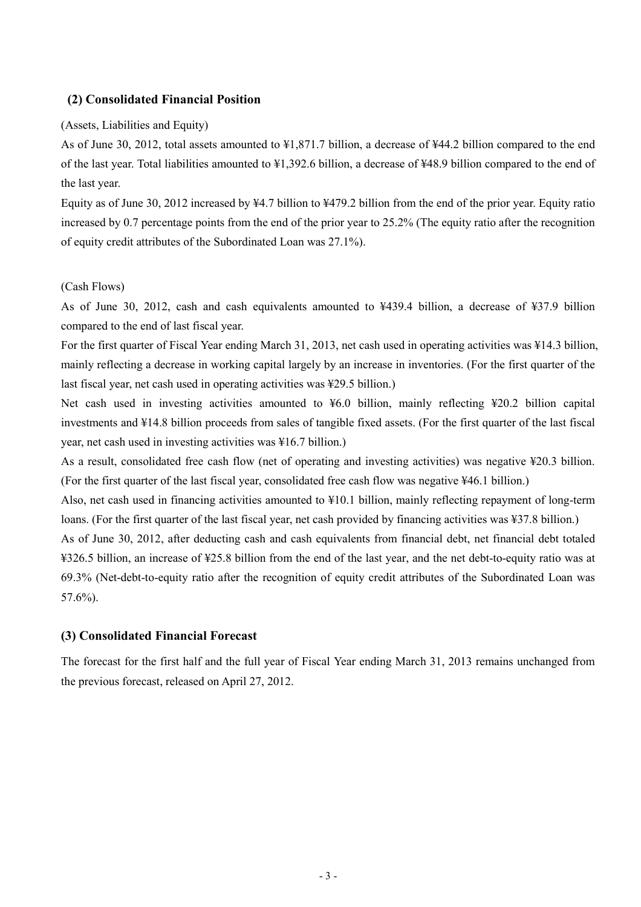## **(2) Consolidated Financial Position**

(Assets, Liabilities and Equity)

As of June 30, 2012, total assets amounted to ¥1,871.7 billion, a decrease of ¥44.2 billion compared to the end of the last year. Total liabilities amounted to ¥1,392.6 billion, a decrease of ¥48.9 billion compared to the end of the last year.

Equity as of June 30, 2012 increased by ¥4.7 billion to ¥479.2 billion from the end of the prior year. Equity ratio increased by 0.7 percentage points from the end of the prior year to 25.2% (The equity ratio after the recognition of equity credit attributes of the Subordinated Loan was 27.1%).

### (Cash Flows)

As of June 30, 2012, cash and cash equivalents amounted to ¥439.4 billion, a decrease of ¥37.9 billion compared to the end of last fiscal year.

For the first quarter of Fiscal Year ending March 31, 2013, net cash used in operating activities was ¥14.3 billion, mainly reflecting a decrease in working capital largely by an increase in inventories. (For the first quarter of the last fiscal year, net cash used in operating activities was ¥29.5 billion.)

Net cash used in investing activities amounted to ¥6.0 billion, mainly reflecting ¥20.2 billion capital investments and ¥14.8 billion proceeds from sales of tangible fixed assets. (For the first quarter of the last fiscal year, net cash used in investing activities was ¥16.7 billion.)

As a result, consolidated free cash flow (net of operating and investing activities) was negative ¥20.3 billion. (For the first quarter of the last fiscal year, consolidated free cash flow was negative ¥46.1 billion.)

Also, net cash used in financing activities amounted to ¥10.1 billion, mainly reflecting repayment of long-term loans. (For the first quarter of the last fiscal year, net cash provided by financing activities was ¥37.8 billion.)

As of June 30, 2012, after deducting cash and cash equivalents from financial debt, net financial debt totaled ¥326.5 billion, an increase of ¥25.8 billion from the end of the last year, and the net debt-to-equity ratio was at 69.3% (Net-debt-to-equity ratio after the recognition of equity credit attributes of the Subordinated Loan was 57.6%).

### **(3) Consolidated Financial Forecast**

The forecast for the first half and the full year of Fiscal Year ending March 31, 2013 remains unchanged from the previous forecast, released on April 27, 2012.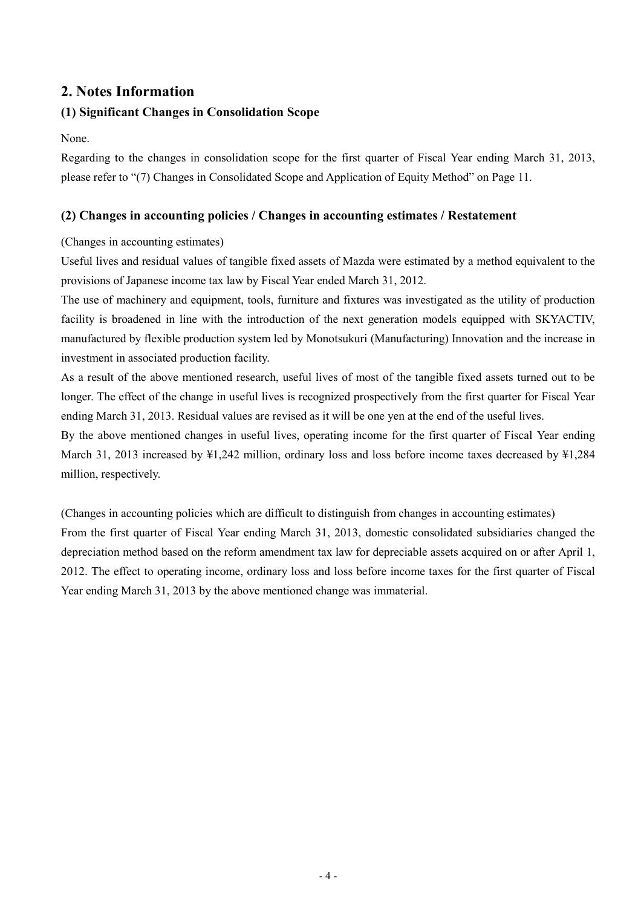# **2. Notes Information**

## **(1) Significant Changes in Consolidation Scope**

None.

Regarding to the changes in consolidation scope for the first quarter of Fiscal Year ending March 31, 2013, please refer to "(7) Changes in Consolidated Scope and Application of Equity Method" on Page 11.

## **(2) Changes in accounting policies / Changes in accounting estimates / Restatement**

## (Changes in accounting estimates)

Useful lives and residual values of tangible fixed assets of Mazda were estimated by a method equivalent to the provisions of Japanese income tax law by Fiscal Year ended March 31, 2012.

The use of machinery and equipment, tools, furniture and fixtures was investigated as the utility of production facility is broadened in line with the introduction of the next generation models equipped with SKYACTIV, manufactured by flexible production system led by Monotsukuri (Manufacturing) Innovation and the increase in investment in associated production facility.

As a result of the above mentioned research, useful lives of most of the tangible fixed assets turned out to be longer. The effect of the change in useful lives is recognized prospectively from the first quarter for Fiscal Year ending March 31, 2013. Residual values are revised as it will be one yen at the end of the useful lives.

By the above mentioned changes in useful lives, operating income for the first quarter of Fiscal Year ending March 31, 2013 increased by ¥1,242 million, ordinary loss and loss before income taxes decreased by ¥1,284 million, respectively.

(Changes in accounting policies which are difficult to distinguish from changes in accounting estimates) From the first quarter of Fiscal Year ending March 31, 2013, domestic consolidated subsidiaries changed the depreciation method based on the reform amendment tax law for depreciable assets acquired on or after April 1, 2012. The effect to operating income, ordinary loss and loss before income taxes for the first quarter of Fiscal Year ending March 31, 2013 by the above mentioned change was immaterial.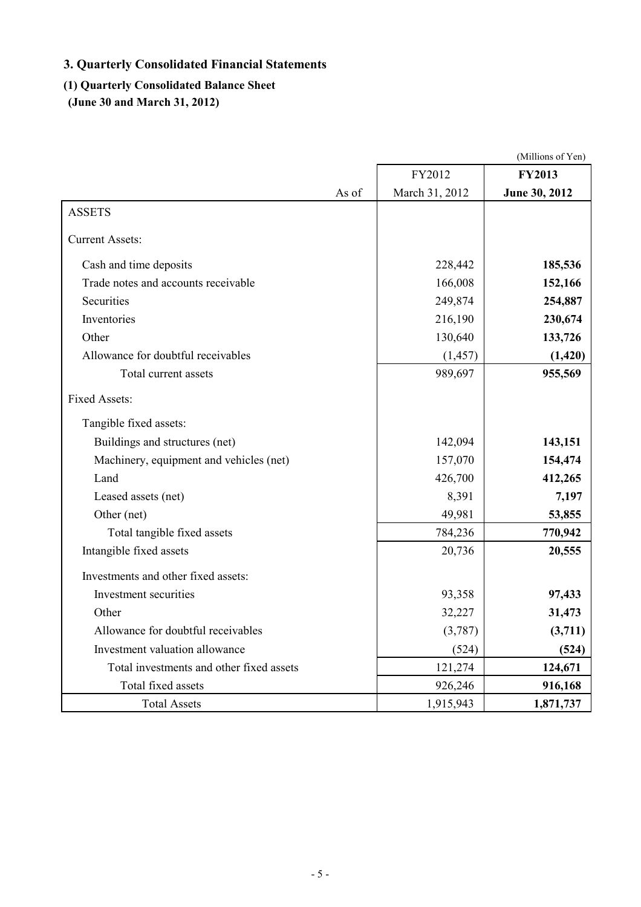# **3. Quarterly Consolidated Financial Statements**

# **(1) Quarterly Consolidated Balance Sheet**

**(June 30 and March 31, 2012)**

|                                          |                | (Millions of Yen) |
|------------------------------------------|----------------|-------------------|
|                                          | FY2012         | <b>FY2013</b>     |
| As of                                    | March 31, 2012 | June 30, 2012     |
| <b>ASSETS</b>                            |                |                   |
| <b>Current Assets:</b>                   |                |                   |
| Cash and time deposits                   | 228,442        | 185,536           |
| Trade notes and accounts receivable      | 166,008        | 152,166           |
| Securities                               | 249,874        | 254,887           |
| Inventories                              | 216,190        | 230,674           |
| Other                                    | 130,640        | 133,726           |
| Allowance for doubtful receivables       | (1, 457)       | (1,420)           |
| Total current assets                     | 989,697        | 955,569           |
| <b>Fixed Assets:</b>                     |                |                   |
| Tangible fixed assets:                   |                |                   |
| Buildings and structures (net)           | 142,094        | 143,151           |
| Machinery, equipment and vehicles (net)  | 157,070        | 154,474           |
| Land                                     | 426,700        | 412,265           |
| Leased assets (net)                      | 8,391          | 7,197             |
| Other (net)                              | 49,981         | 53,855            |
| Total tangible fixed assets              | 784,236        | 770,942           |
| Intangible fixed assets                  | 20,736         | 20,555            |
| Investments and other fixed assets:      |                |                   |
| Investment securities                    | 93,358         | 97,433            |
| Other                                    | 32,227         | 31,473            |
| Allowance for doubtful receivables       | (3,787)        | (3,711)           |
| Investment valuation allowance           | (524)          | (524)             |
| Total investments and other fixed assets | 121,274        | 124,671           |
| Total fixed assets                       | 926,246        | 916,168           |
| <b>Total Assets</b>                      | 1,915,943      | 1,871,737         |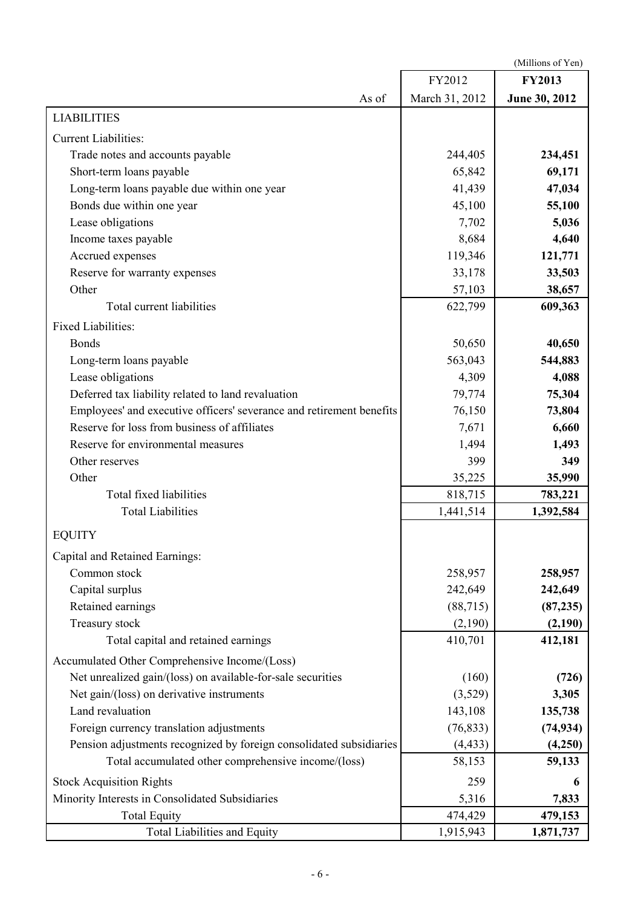|                                                                      |                | (Millions of Yen) |
|----------------------------------------------------------------------|----------------|-------------------|
|                                                                      | FY2012         | <b>FY2013</b>     |
| As of                                                                | March 31, 2012 | June 30, 2012     |
| <b>LIABILITIES</b>                                                   |                |                   |
| <b>Current Liabilities:</b>                                          |                |                   |
| Trade notes and accounts payable                                     | 244,405        | 234,451           |
| Short-term loans payable                                             | 65,842         | 69,171            |
| Long-term loans payable due within one year                          | 41,439         | 47,034            |
| Bonds due within one year                                            | 45,100         | 55,100            |
| Lease obligations                                                    | 7,702          | 5,036             |
| Income taxes payable                                                 | 8,684          | 4,640             |
| Accrued expenses                                                     | 119,346        | 121,771           |
| Reserve for warranty expenses                                        | 33,178         | 33,503            |
| Other                                                                | 57,103         | 38,657            |
| Total current liabilities                                            | 622,799        | 609,363           |
| <b>Fixed Liabilities:</b>                                            |                |                   |
| <b>Bonds</b>                                                         | 50,650         | 40,650            |
| Long-term loans payable                                              | 563,043        | 544,883           |
| Lease obligations                                                    | 4,309          | 4,088             |
| Deferred tax liability related to land revaluation                   | 79,774         | 75,304            |
| Employees' and executive officers' severance and retirement benefits | 76,150         | 73,804            |
| Reserve for loss from business of affiliates                         | 7,671          | 6,660             |
| Reserve for environmental measures                                   | 1,494          | 1,493             |
| Other reserves                                                       | 399            | 349               |
| Other                                                                | 35,225         | 35,990            |
| Total fixed liabilities                                              | 818,715        | 783,221           |
| <b>Total Liabilities</b>                                             | 1,441,514      | 1,392,584         |
| <b>EQUITY</b>                                                        |                |                   |
| Capital and Retained Earnings:                                       |                |                   |
| Common stock                                                         | 258,957        | 258,957           |
| Capital surplus                                                      | 242,649        | 242,649           |
| Retained earnings                                                    | (88, 715)      | (87, 235)         |
| Treasury stock                                                       | (2,190)        | (2,190)           |
| Total capital and retained earnings                                  | 410,701        | 412,181           |
| Accumulated Other Comprehensive Income/(Loss)                        |                |                   |
| Net unrealized gain/(loss) on available-for-sale securities          | (160)          | (726)             |
| Net gain/(loss) on derivative instruments                            | (3,529)        | 3,305             |
| Land revaluation                                                     | 143,108        | 135,738           |
| Foreign currency translation adjustments                             | (76, 833)      | (74, 934)         |
| Pension adjustments recognized by foreign consolidated subsidiaries  | (4, 433)       | (4,250)           |
| Total accumulated other comprehensive income/(loss)                  | 58,153         | 59,133            |
| <b>Stock Acquisition Rights</b>                                      | 259            | 6                 |
| Minority Interests in Consolidated Subsidiaries                      | 5,316          | 7,833             |
| <b>Total Equity</b>                                                  | 474,429        | 479,153           |
| <b>Total Liabilities and Equity</b>                                  | 1,915,943      | 1,871,737         |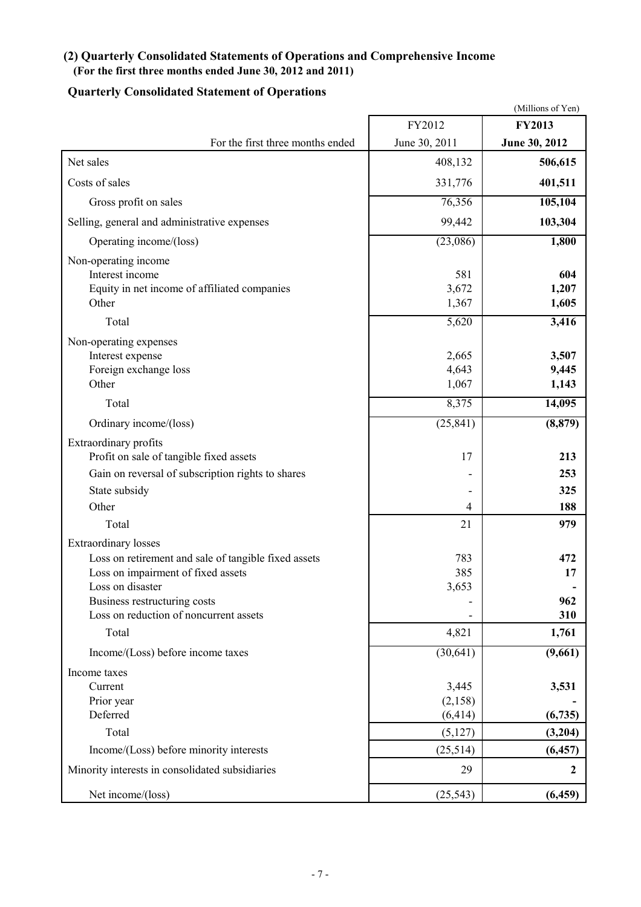# **(2) Quarterly Consolidated Statements of Operations and Comprehensive Income (For the first three months ended June 30, 2012 and 2011)**

# **Quarterly Consolidated Statement of Operations**

|                                                                                                                                                                                                                                  |                                     | (Millions of Yen)                |
|----------------------------------------------------------------------------------------------------------------------------------------------------------------------------------------------------------------------------------|-------------------------------------|----------------------------------|
|                                                                                                                                                                                                                                  | FY2012                              | <b>FY2013</b>                    |
| For the first three months ended                                                                                                                                                                                                 | June 30, 2011                       | June 30, 2012                    |
| Net sales                                                                                                                                                                                                                        | 408,132                             | 506,615                          |
| Costs of sales                                                                                                                                                                                                                   | 331,776                             | 401,511                          |
| Gross profit on sales                                                                                                                                                                                                            | 76,356                              | 105,104                          |
| Selling, general and administrative expenses                                                                                                                                                                                     | 99,442                              | 103,304                          |
| Operating income/(loss)                                                                                                                                                                                                          | (23,086)                            | 1,800                            |
| Non-operating income<br>Interest income<br>Equity in net income of affiliated companies<br>Other                                                                                                                                 | 581<br>3,672<br>1,367               | 604<br>1,207<br>1,605            |
| Total                                                                                                                                                                                                                            | 5,620                               | 3,416                            |
| Non-operating expenses<br>Interest expense<br>Foreign exchange loss<br>Other                                                                                                                                                     | 2,665<br>4,643<br>1,067             | 3,507<br>9,445<br>1,143          |
| Total                                                                                                                                                                                                                            | 8,375                               | 14,095                           |
| Ordinary income/(loss)                                                                                                                                                                                                           | (25, 841)                           | (8, 879)                         |
| Extraordinary profits<br>Profit on sale of tangible fixed assets<br>Gain on reversal of subscription rights to shares<br>State subsidy<br>Other                                                                                  | 17<br>۰<br>$\overline{\mathcal{A}}$ | 213<br>253<br>325<br>188         |
| Total                                                                                                                                                                                                                            | 21                                  | 979                              |
| <b>Extraordinary losses</b><br>Loss on retirement and sale of tangible fixed assets<br>Loss on impairment of fixed assets<br>Loss on disaster<br>Business restructuring costs<br>Loss on reduction of noncurrent assets<br>Total | 783<br>385<br>3,653<br>4,821        | 472<br>17<br>962<br>310<br>1,761 |
| Income/(Loss) before income taxes                                                                                                                                                                                                | (30, 641)                           | (9,661)                          |
| Income taxes<br>Current<br>Prior year<br>Deferred<br>Total                                                                                                                                                                       | 3,445<br>(2, 158)<br>(6, 414)       | 3,531<br>(6,735)                 |
|                                                                                                                                                                                                                                  | (5, 127)                            | (3,204)                          |
| Income/(Loss) before minority interests<br>Minority interests in consolidated subsidiaries                                                                                                                                       | (25,514)<br>29                      | (6, 457)<br>$\boldsymbol{2}$     |
| Net income/(loss)                                                                                                                                                                                                                | (25, 543)                           | (6, 459)                         |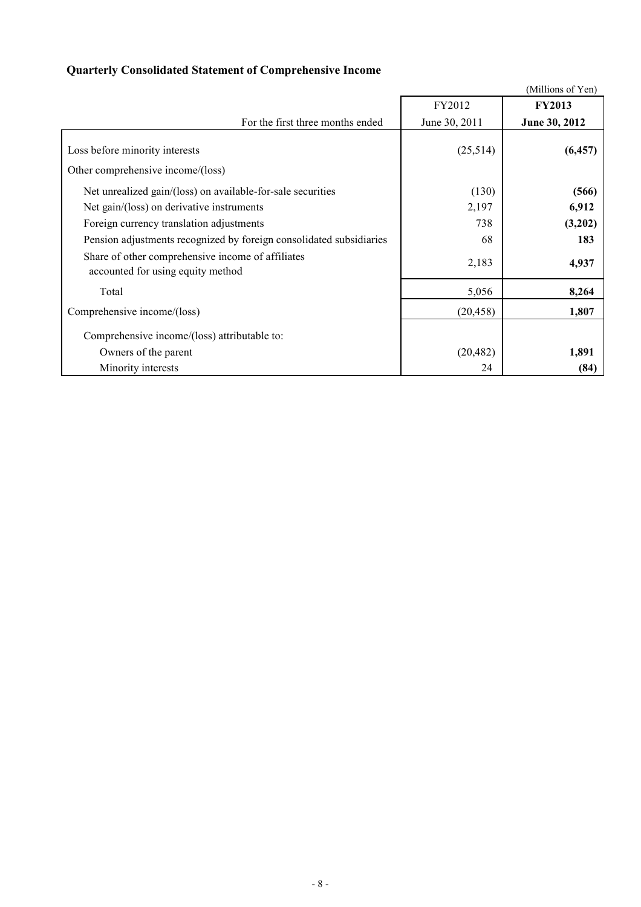# **Quarterly Consolidated Statement of Comprehensive Income**

|                                                                                                          |                | (Millions of Yen) |
|----------------------------------------------------------------------------------------------------------|----------------|-------------------|
|                                                                                                          | FY2012         | <b>FY2013</b>     |
| For the first three months ended                                                                         | June 30, 2011  | June 30, 2012     |
| Loss before minority interests<br>Other comprehensive income/(loss)                                      | (25,514)       | (6, 457)          |
| Net unrealized gain/(loss) on available-for-sale securities<br>Net gain/(loss) on derivative instruments | (130)<br>2,197 | (566)<br>6,912    |
| Foreign currency translation adjustments                                                                 | 738            | (3,202)           |
| Pension adjustments recognized by foreign consolidated subsidiaries                                      | 68             | 183               |
| Share of other comprehensive income of affiliates<br>accounted for using equity method                   | 2,183          | 4,937             |
| Total                                                                                                    | 5,056          | 8,264             |
| Comprehensive income/(loss)                                                                              | (20, 458)      | 1,807             |
| Comprehensive income/(loss) attributable to:                                                             |                |                   |
| Owners of the parent                                                                                     | (20, 482)      | 1,891             |
| Minority interests                                                                                       | 24             | (84)              |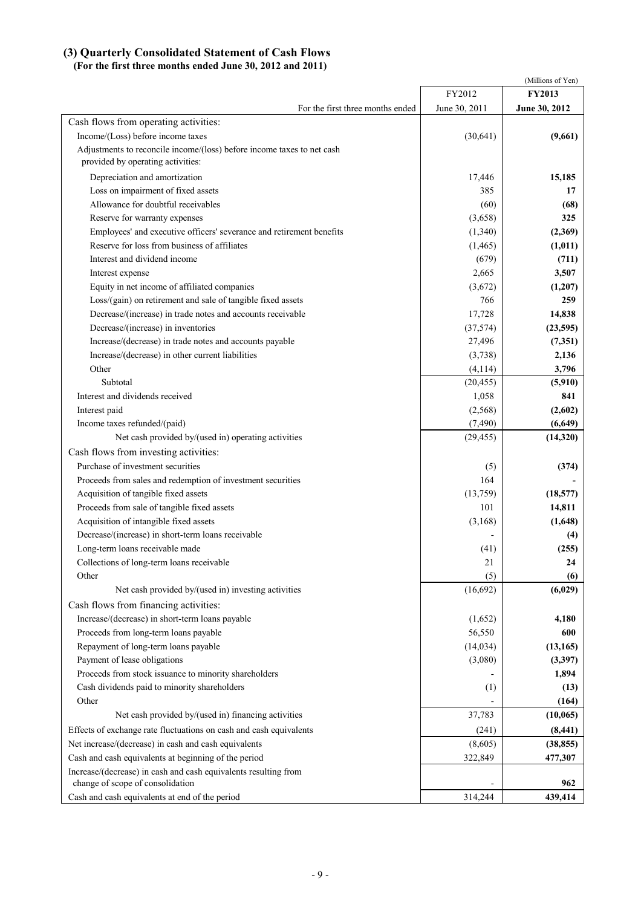### **(3) Quarterly Consolidated Statement of Cash Flows**

### **(For the first three months ended June 30, 2012 and 2011)**

|                                                                                                             |               | (Millions of Yen) |
|-------------------------------------------------------------------------------------------------------------|---------------|-------------------|
|                                                                                                             | FY2012        | <b>FY2013</b>     |
| For the first three months ended                                                                            | June 30, 2011 | June 30, 2012     |
| Cash flows from operating activities:                                                                       |               |                   |
| Income/(Loss) before income taxes                                                                           | (30, 641)     | (9,661)           |
| Adjustments to reconcile income/(loss) before income taxes to net cash<br>provided by operating activities: |               |                   |
| Depreciation and amortization                                                                               | 17,446        | 15,185            |
| Loss on impairment of fixed assets                                                                          | 385           | 17                |
| Allowance for doubtful receivables                                                                          | (60)          | (68)              |
| Reserve for warranty expenses                                                                               | (3,658)       | 325               |
| Employees' and executive officers' severance and retirement benefits                                        | (1,340)       | (2,369)           |
| Reserve for loss from business of affiliates                                                                | (1,465)       | (1, 011)          |
| Interest and dividend income                                                                                | (679)         | (711)             |
| Interest expense                                                                                            | 2,665         | 3,507             |
| Equity in net income of affiliated companies                                                                | (3,672)       | (1,207)           |
| Loss/(gain) on retirement and sale of tangible fixed assets                                                 | 766           | 259               |
| Decrease/(increase) in trade notes and accounts receivable                                                  | 17,728        | 14,838            |
| Decrease/(increase) in inventories                                                                          | (37, 574)     | (23,595)          |
| Increase/(decrease) in trade notes and accounts payable                                                     | 27,496        | (7,351)           |
| Increase/(decrease) in other current liabilities                                                            | (3,738)       | 2,136             |
| Other                                                                                                       | (4, 114)      | 3,796             |
| Subtotal                                                                                                    | (20, 455)     | (5,910)           |
| Interest and dividends received                                                                             | 1,058         | 841               |
| Interest paid                                                                                               | (2,568)       | (2,602)           |
| Income taxes refunded/(paid)                                                                                | (7, 490)      | (6,649)           |
| Net cash provided by/(used in) operating activities                                                         | (29, 455)     | (14,320)          |
| Cash flows from investing activities:                                                                       |               |                   |
| Purchase of investment securities                                                                           | (5)           | (374)             |
| Proceeds from sales and redemption of investment securities                                                 | 164           |                   |
| Acquisition of tangible fixed assets                                                                        | (13,759)      | (18, 577)         |
| Proceeds from sale of tangible fixed assets                                                                 | 101           | 14,811            |
| Acquisition of intangible fixed assets                                                                      | (3, 168)      | (1,648)           |
| Decrease/(increase) in short-term loans receivable                                                          |               | (4)               |
| Long-term loans receivable made                                                                             | (41)          | (255)             |
| Collections of long-term loans receivable                                                                   | 21            | 24                |
| Other                                                                                                       | (5)           | (6)               |
| Net cash provided by/(used in) investing activities                                                         | (16,692)      | (6,029)           |
| Cash flows from financing activities:                                                                       |               |                   |
| Increase/(decrease) in short-term loans payable                                                             | (1,652)       | 4,180             |
| Proceeds from long-term loans payable                                                                       | 56,550        | 600               |
| Repayment of long-term loans payable                                                                        | (14, 034)     | (13, 165)         |
| Payment of lease obligations                                                                                | (3,080)       | (3,397)           |
| Proceeds from stock issuance to minority shareholders                                                       |               | 1,894             |
| Cash dividends paid to minority shareholders                                                                | (1)           | (13)              |
| Other                                                                                                       |               | (164)             |
| Net cash provided by/(used in) financing activities                                                         | 37,783        | (10,065)          |
| Effects of exchange rate fluctuations on cash and cash equivalents                                          | (241)         | (8, 441)          |
| Net increase/(decrease) in cash and cash equivalents                                                        | (8,605)       | (38, 855)         |
| Cash and cash equivalents at beginning of the period                                                        | 322,849       | 477,307           |
| Increase/(decrease) in cash and cash equivalents resulting from                                             |               |                   |
| change of scope of consolidation                                                                            |               | 962               |
| Cash and cash equivalents at end of the period                                                              | 314,244       | 439,414           |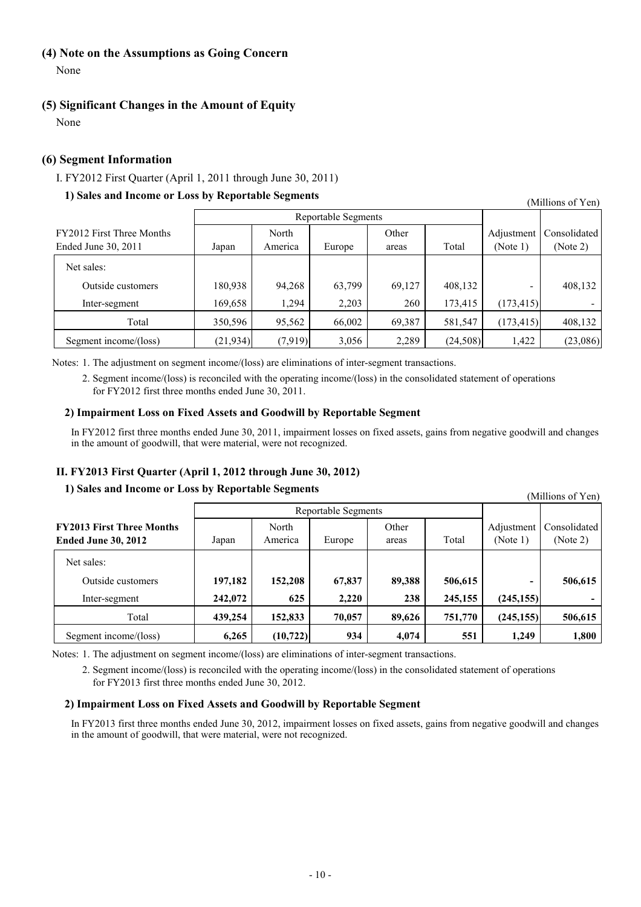## **(4) Note on the Assumptions as Going Concern**

None

### **(5) Significant Changes in the Amount of Equity**

None

### **(6) Segment Information**

### I. FY2012 First Quarter (April 1, 2011 through June 30, 2011)

### **1) Sales and Income or Loss by Reportable Segments**

Reportable Segments FY2012 First Three Months North North Other Adjustment Consolidated Ended June 30, 2011 Japan America Europe areas Total (Note 1) (Note 2) Net sales: Outside customers 180,938 94,268 63,799 69,127 408,132 - 408,132 Inter-segment 169,658 1,294 2,203 260 173,415 (173,415) -Total 350,596 95,562 66,002 69,387 581,547 (173,415) 408,132 Segment income/(loss) (21,934) (7,919) 3,056 2,289 (24,508) 1,422 (23,086)

Notes: 1. The adjustment on segment income/(loss) are eliminations of inter-segment transactions.

2. Segment income/(loss) is reconciled with the operating income/(loss) in the consolidated statement of operations for FY2012 first three months ended June 30, 2011.

### **2) Impairment Loss on Fixed Assets and Goodwill by Reportable Segment**

In FY2012 first three months ended June 30, 2011, impairment losses on fixed assets, gains from negative goodwill and changes in the amount of goodwill, that were material, were not recognized.

### **II. FY2013 First Quarter (April 1, 2012 through June 30, 2012)**

### **1) Sales and Income or Loss by Reportable Segments**

Reportable Segments **FY2013 First Three Months** North North Other **Consolidated** Adjustment Consolidated **Ended June 30, 2012** Japan America Europe areas Total (Note 1) (Note 2) Net sales: Outside customers **197,182 152,208 67,837 89,388 506,615 - 506,615** Inter-segment **242,072 625 2,220 238 245,155 (245,155) -** Total **439,254 152,833 70,057 89,626 751,770 (245,155) 506,615** Segment income/(loss) **6,265** (10,722) 934 4,074 551 1,249 1,800

Notes: 1. The adjustment on segment income/(loss) are eliminations of inter-segment transactions.

2. Segment income/(loss) is reconciled with the operating income/(loss) in the consolidated statement of operations for FY2013 first three months ended June 30, 2012.

### **2) Impairment Loss on Fixed Assets and Goodwill by Reportable Segment**

In FY2013 first three months ended June 30, 2012, impairment losses on fixed assets, gains from negative goodwill and changes in the amount of goodwill, that were material, were not recognized.

(Millions of Yen)

(Millions of Yen)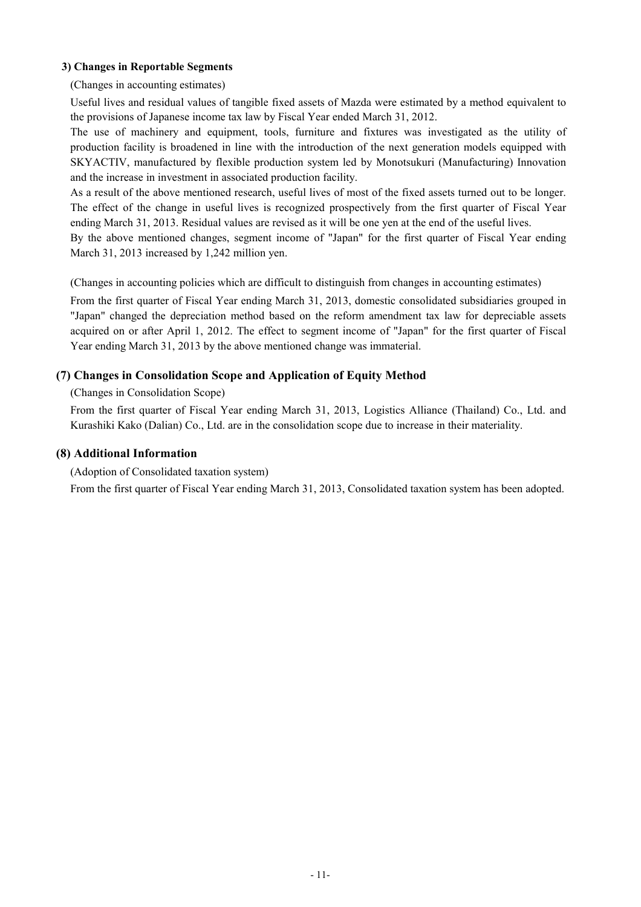### **3) Changes in Reportable Segments**

(Changes in accounting estimates)

Useful lives and residual values of tangible fixed assets of Mazda were estimated by a method equivalent to the provisions of Japanese income tax law by Fiscal Year ended March 31, 2012.

The use of machinery and equipment, tools, furniture and fixtures was investigated as the utility of production facility is broadened in line with the introduction of the next generation models equipped with SKYACTIV, manufactured by flexible production system led by Monotsukuri (Manufacturing) Innovation and the increase in investment in associated production facility.

As a result of the above mentioned research, useful lives of most of the fixed assets turned out to be longer. The effect of the change in useful lives is recognized prospectively from the first quarter of Fiscal Year ending March 31, 2013. Residual values are revised as it will be one yen at the end of the useful lives.

By the above mentioned changes, segment income of "Japan" for the first quarter of Fiscal Year ending March 31, 2013 increased by 1,242 million yen.

(Changes in accounting policies which are difficult to distinguish from changes in accounting estimates)

From the first quarter of Fiscal Year ending March 31, 2013, domestic consolidated subsidiaries grouped in "Japan" changed the depreciation method based on the reform amendment tax law for depreciable assets acquired on or after April 1, 2012. The effect to segment income of "Japan" for the first quarter of Fiscal Year ending March 31, 2013 by the above mentioned change was immaterial.

## **(7) Changes in Consolidation Scope and Application of Equity Method**

### (Changes in Consolidation Scope)

From the first quarter of Fiscal Year ending March 31, 2013, Logistics Alliance (Thailand) Co., Ltd. and Kurashiki Kako (Dalian) Co., Ltd. are in the consolidation scope due to increase in their materiality.

### **(8) Additional Information**

(Adoption of Consolidated taxation system)

From the first quarter of Fiscal Year ending March 31, 2013, Consolidated taxation system has been adopted.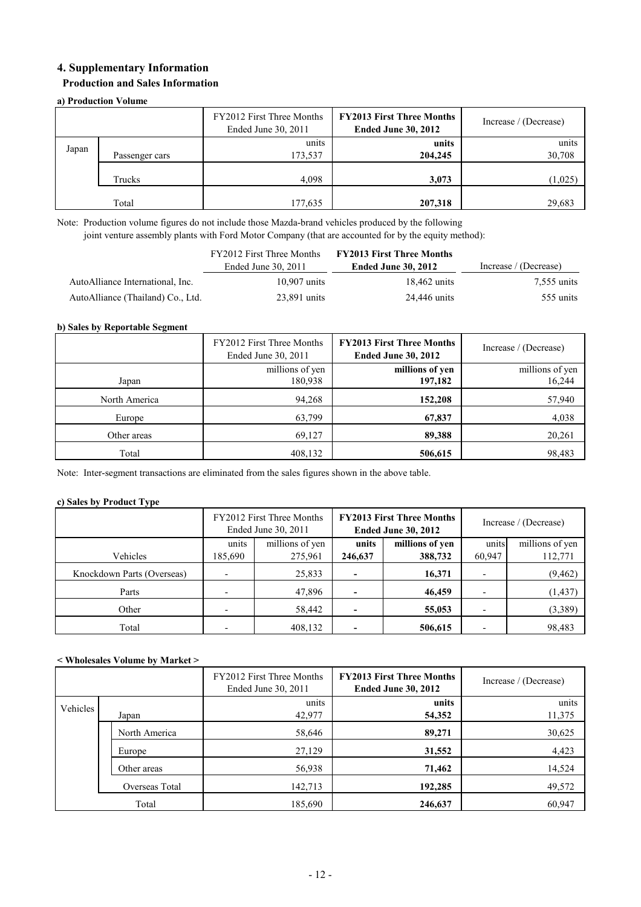## **4. Supplementary Information**

### **Production and Sales Information**

### **a) Production Volume**

|       |                | FY2012 First Three Months<br>Ended June 30, 2011 | <b>FY2013 First Three Months</b><br><b>Ended June 30, 2012</b> | Increase / (Decrease) |
|-------|----------------|--------------------------------------------------|----------------------------------------------------------------|-----------------------|
| Japan | Passenger cars | units<br>173,537                                 | units<br>204,245                                               | units<br>30,708       |
|       | Trucks         | 4,098                                            | 3,073                                                          | (1,025)               |
|       | Total          | 177,635                                          | 207,318                                                        | 29,683                |

Note: Production volume figures do not include those Mazda-brand vehicles produced by the following joint venture assembly plants with Ford Motor Company (that are accounted for by the equity method):

|                                   | FY2012 First Three Months<br>Ended June 30, 2011 | <b>FY2013 First Three Months</b><br><b>Ended June 30, 2012</b> | Increase / (Decrease) |  |
|-----------------------------------|--------------------------------------------------|----------------------------------------------------------------|-----------------------|--|
| AutoAlliance International, Inc.  | $10.907$ units                                   | 18,462 units                                                   | 7,555 units           |  |
| AutoAlliance (Thailand) Co., Ltd. | 23,891 units                                     | 24.446 units                                                   | 555 units             |  |

### **b) Sales by Reportable Segment**

|               | FY2012 First Three Months<br>Ended June 30, 2011 | <b>FY2013 First Three Months</b><br><b>Ended June 30, 2012</b> | Increase / (Decrease) |
|---------------|--------------------------------------------------|----------------------------------------------------------------|-----------------------|
|               | millions of yen                                  | millions of yen                                                | millions of yen       |
| Japan         | 180,938                                          | 197,182                                                        | 16,244                |
| North America | 94,268                                           | 152,208                                                        | 57,940                |
| Europe        | 63,799                                           | 67,837                                                         | 4,038                 |
| Other areas   | 69,127                                           | 89,388                                                         | 20,261                |
| Total         | 408,132                                          | 506,615                                                        | 98,483                |

Note: Inter-segment transactions are eliminated from the sales figures shown in the above table.

### **c) Sales by Product Type**

|                            |                          | FY2012 First Three Months<br>Ended June 30, 2011 |         | <b>FY2013 First Three Months</b><br><b>Ended June 30, 2012</b> | Increase / (Decrease) |                 |
|----------------------------|--------------------------|--------------------------------------------------|---------|----------------------------------------------------------------|-----------------------|-----------------|
|                            | millions of yen<br>units |                                                  | units   | millions of yen                                                | units                 | millions of yen |
| Vehicles                   | 185,690                  | 275,961                                          | 246,637 | 388,732                                                        | 60,947                | 112,771         |
| Knockdown Parts (Overseas) |                          | 25,833                                           |         | 16,371                                                         |                       | (9, 462)        |
| Parts                      |                          | 47,896                                           |         | 46,459                                                         |                       | (1, 437)        |
| Other                      |                          | 58,442                                           |         | 55,053                                                         |                       | (3,389)         |
| Total                      |                          | 408,132                                          |         | 506,615                                                        |                       | 98,483          |

### **< Wholesales Volume by Market >**

|          |                | FY2012 First Three Months<br>Ended June 30, 2011 | <b>FY2013 First Three Months</b><br><b>Ended June 30, 2012</b> | Increase / (Decrease) |
|----------|----------------|--------------------------------------------------|----------------------------------------------------------------|-----------------------|
| Vehicles | Japan          | units<br>42,977                                  | units<br>54,352                                                | units<br>11,375       |
|          | North America  | 58,646                                           | 89,271                                                         | 30,625                |
|          | Europe         | 27,129                                           | 31,552                                                         | 4,423                 |
|          | Other areas    | 56,938                                           | 71,462                                                         | 14,524                |
|          | Overseas Total | 142,713                                          | 192,285                                                        | 49,572                |
| Total    |                | 185,690                                          | 246,637                                                        | 60,947                |